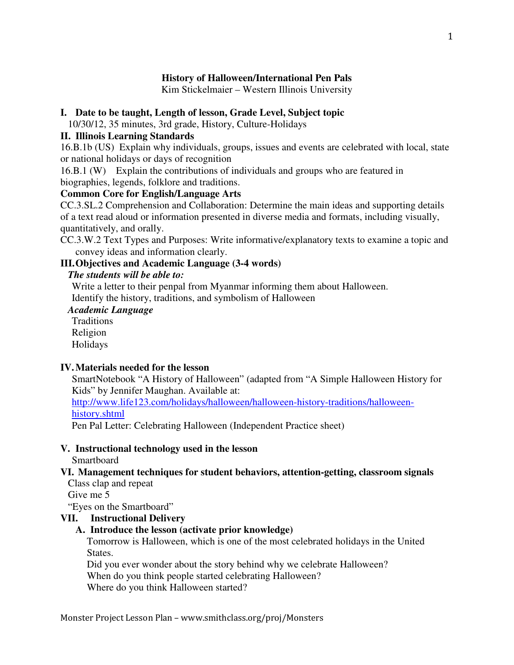# **History of Halloween/International Pen Pals**

Kim Stickelmaier – Western Illinois University

## **I. Date to be taught, Length of lesson, Grade Level, Subject topic**

10/30/12, 35 minutes, 3rd grade, History, Culture-Holidays

## **II. Illinois Learning Standards**

16.B.1b (US) Explain why individuals, groups, issues and events are celebrated with local, state or national holidays or days of recognition

16.B.1 (W) Explain the contributions of individuals and groups who are featured in biographies, legends, folklore and traditions.

## **Common Core for English/Language Arts**

CC.3.SL.2 Comprehension and Collaboration: Determine the main ideas and supporting details of a text read aloud or information presented in diverse media and formats, including visually, quantitatively, and orally.

CC.3.W.2 Text Types and Purposes: Write informative/explanatory texts to examine a topic and convey ideas and information clearly.

# **III. Objectives and Academic Language (3-4 words)**

## *The students will be able to:*

Write a letter to their penpal from Myanmar informing them about Halloween. Identify the history, traditions, and symbolism of Halloween

# *Academic Language*

**Traditions** Religion Holidays

# **IV. Materials needed for the lesson**

SmartNotebook "A History of Halloween" (adapted from "A Simple Halloween History for Kids" by Jennifer Maughan. Available at:

http://www.life123.com/holidays/halloween/halloween-history-traditions/halloweenhistory.shtml

Pen Pal Letter: Celebrating Halloween (Independent Practice sheet)

## **V. Instructional technology used in the lesson**

**Smartboard** 

#### **VI. Management techniques for student behaviors, attention-getting, classroom signals**  Class clap and repeat

Give me 5

"Eyes on the Smartboard"

# **VII. Instructional Delivery**

# **A. Introduce the lesson (activate prior knowledge)**

Tomorrow is Halloween, which is one of the most celebrated holidays in the United States.

Did you ever wonder about the story behind why we celebrate Halloween? When do you think people started celebrating Halloween? Where do you think Halloween started?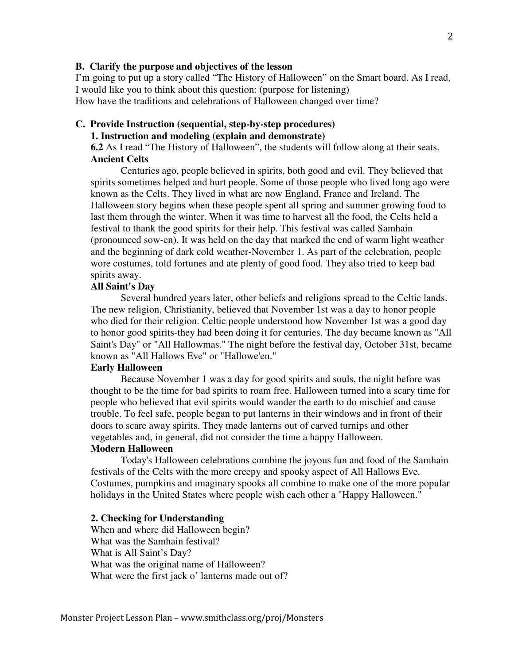#### **B. Clarify the purpose and objectives of the lesson**

 I'm going to put up a story called "The History of Halloween" on the Smart board. As I read, I would like you to think about this question: (purpose for listening) How have the traditions and celebrations of Halloween changed over time?

#### **C. Provide Instruction (sequential, step-by-step procedures) 1. Instruction and modeling (explain and demonstrate)**

**6.2** As I read "The History of Halloween", the students will follow along at their seats. **Ancient Celts** 

 Centuries ago, people believed in spirits, both good and evil. They believed that spirits sometimes helped and hurt people. Some of those people who lived long ago were known as the Celts. They lived in what are now England, France and Ireland. The Halloween story begins when these people spent all spring and summer growing food to last them through the winter. When it was time to harvest all the food, the Celts held a festival to thank the good spirits for their help. This festival was called Samhain (pronounced sow-en). It was held on the day that marked the end of warm light weather and the beginning of dark cold weather-November 1. As part of the celebration, people wore costumes, told fortunes and ate plenty of good food. They also tried to keep bad spirits away.

#### **All Saint's Day**

 Several hundred years later, other beliefs and religions spread to the Celtic lands. The new religion, Christianity, believed that November 1st was a day to honor people who died for their religion. Celtic people understood how November 1st was a good day to honor good spirits-they had been doing it for centuries. The day became known as "All Saint's Day" or "All Hallowmas." The night before the festival day, October 31st, became known as "All Hallows Eve" or "Hallowe'en."

#### **Early Halloween**

 Because November 1 was a day for good spirits and souls, the night before was thought to be the time for bad spirits to roam free. Halloween turned into a scary time for people who believed that evil spirits would wander the earth to do mischief and cause trouble. To feel safe, people began to put lanterns in their windows and in front of their doors to scare away spirits. They made lanterns out of carved turnips and other vegetables and, in general, did not consider the time a happy Halloween.

## **Modern Halloween**

 Today's Halloween celebrations combine the joyous fun and food of the Samhain festivals of the Celts with the more creepy and spooky aspect of All Hallows Eve. Costumes, pumpkins and imaginary spooks all combine to make one of the more popular holidays in the United States where people wish each other a "Happy Halloween."

#### **2. Checking for Understanding**

When and where did Halloween begin? What was the Samhain festival? What is All Saint's Day? What was the original name of Halloween? What were the first jack o' lanterns made out of?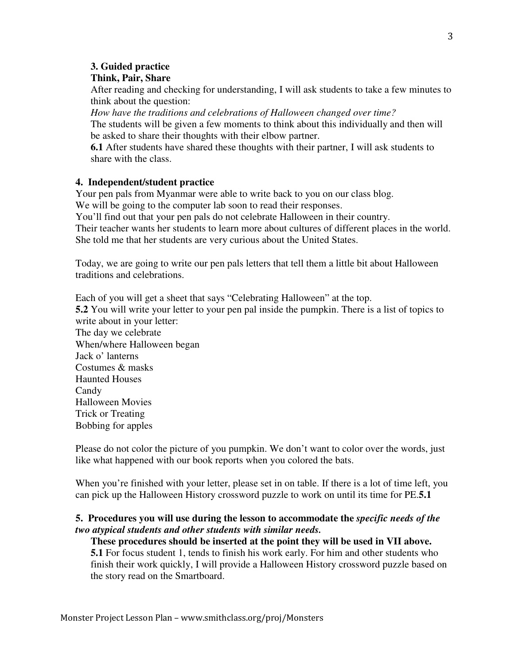## **3. Guided practice**

## **Think, Pair, Share**

After reading and checking for understanding, I will ask students to take a few minutes to think about the question:

*How have the traditions and celebrations of Halloween changed over time?*  The students will be given a few moments to think about this individually and then will be asked to share their thoughts with their elbow partner.

**6.1** After students have shared these thoughts with their partner, I will ask students to share with the class.

## **4. Independent/student practice**

Your pen pals from Myanmar were able to write back to you on our class blog. We will be going to the computer lab soon to read their responses.

You'll find out that your pen pals do not celebrate Halloween in their country.

Their teacher wants her students to learn more about cultures of different places in the world. She told me that her students are very curious about the United States.

Today, we are going to write our pen pals letters that tell them a little bit about Halloween traditions and celebrations.

Each of you will get a sheet that says "Celebrating Halloween" at the top. **5.2** You will write your letter to your pen pal inside the pumpkin. There is a list of topics to write about in your letter: The day we celebrate When/where Halloween began Jack o' lanterns Costumes & masks Haunted Houses Candy Halloween Movies Trick or Treating Bobbing for apples

Please do not color the picture of you pumpkin. We don't want to color over the words, just like what happened with our book reports when you colored the bats.

When you're finished with your letter, please set in on table. If there is a lot of time left, you can pick up the Halloween History crossword puzzle to work on until its time for PE.**5.1** 

## **5. Procedures you will use during the lesson to accommodate the** *specific needs of the two atypical students and other students with similar needs.*

**These procedures should be inserted at the point they will be used in VII above. 5.1** For focus student 1, tends to finish his work early. For him and other students who finish their work quickly, I will provide a Halloween History crossword puzzle based on the story read on the Smartboard.